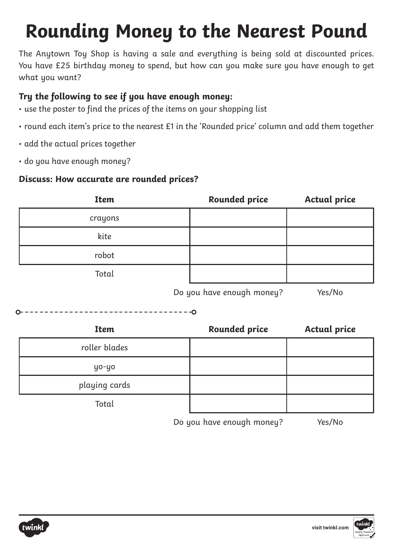# **Rounding Money to the Nearest Pound**

The Anytown Toy Shop is having a sale and everything is being sold at discounted prices. You have £25 birthday money to spend, but how can you make sure you have enough to get what you want?

### **Try the following to see if you have enough money:**

- use the poster to find the prices of the items on your shopping list
- round each item's price to the nearest £1 in the 'Rounded price' column and add them together
- add the actual prices together
- do you have enough money?

#### **Discuss: How accurate are rounded prices?**

| <b>Item</b> | <b>Rounded price</b> | <b>Actual price</b> |
|-------------|----------------------|---------------------|
| crayons     |                      |                     |
| kite        |                      |                     |
| robot       |                      |                     |
| Total       |                      |                     |

Do you have enough money? Yes/No

-----------------------------------0

| <b>Item</b>   | <b>Rounded price</b>                                                                                            | <b>Actual price</b>                                                                                                                                                                                                                  |
|---------------|-----------------------------------------------------------------------------------------------------------------|--------------------------------------------------------------------------------------------------------------------------------------------------------------------------------------------------------------------------------------|
| roller blades |                                                                                                                 |                                                                                                                                                                                                                                      |
| уо-уо         |                                                                                                                 |                                                                                                                                                                                                                                      |
| playing cards |                                                                                                                 |                                                                                                                                                                                                                                      |
| Total         |                                                                                                                 |                                                                                                                                                                                                                                      |
|               | the contract of the contract of the contract of the contract of the contract of the contract of the contract of | $\blacksquare$ . The contract of the contract of the contract of the contract of the contract of the contract of the contract of the contract of the contract of the contract of the contract of the contract of the contract of the |



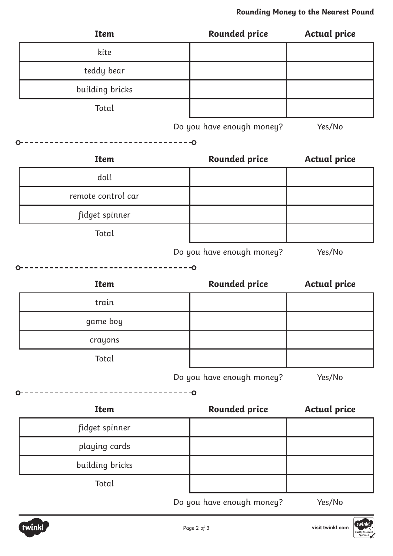| <b>Item</b>        |        | <b>Rounded price</b>      | <b>Actual price</b> |
|--------------------|--------|---------------------------|---------------------|
| kite               |        |                           |                     |
| teddy bear         |        |                           |                     |
| building bricks    |        |                           |                     |
| Total              |        |                           |                     |
|                    |        | Do you have enough money? | Yes/No              |
|                    | $-$ -O |                           |                     |
| <b>Item</b>        |        | <b>Rounded price</b>      | <b>Actual price</b> |
| doll               |        |                           |                     |
| remote control car |        |                           |                     |
| fidget spinner     |        |                           |                     |
| Total              |        |                           |                     |
|                    |        | Do you have enough money? | Yes/No              |
|                    | $-$ -O |                           |                     |
| <b>Item</b>        |        | <b>Rounded price</b>      | <b>Actual price</b> |
| train              |        |                           |                     |
| game boy           |        |                           |                     |
| crayons            |        |                           |                     |
| Total              |        |                           |                     |
|                    |        | Do you have enough money? | Yes/No              |
|                    |        | $\overline{\bullet}$      |                     |
| <b>Item</b>        |        | <b>Rounded price</b>      | <b>Actual price</b> |
| fidget spinner     |        |                           |                     |
| playing cards      |        |                           |                     |
| building bricks    |        |                           |                     |

Total

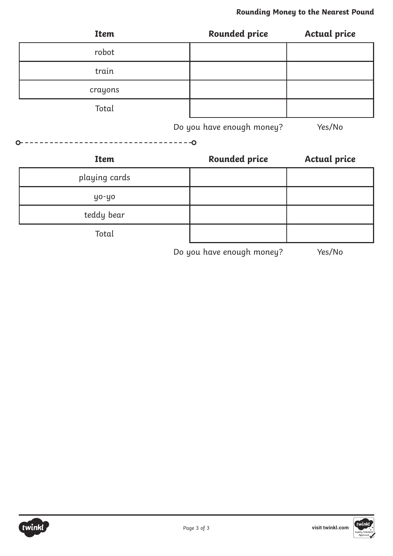| <b>Item</b>   | <b>Rounded price</b>      | <b>Actual price</b> |
|---------------|---------------------------|---------------------|
| robot         |                           |                     |
| train         |                           |                     |
| crayons       |                           |                     |
| Total         |                           |                     |
|               | Do you have enough money? | Yes/No              |
|               | $\overline{\bullet}$      |                     |
| <b>Item</b>   | <b>Rounded price</b>      | <b>Actual price</b> |
| playing cards |                           |                     |
| yo-yo         |                           |                     |
| teddy bear    |                           |                     |
| Total         |                           |                     |

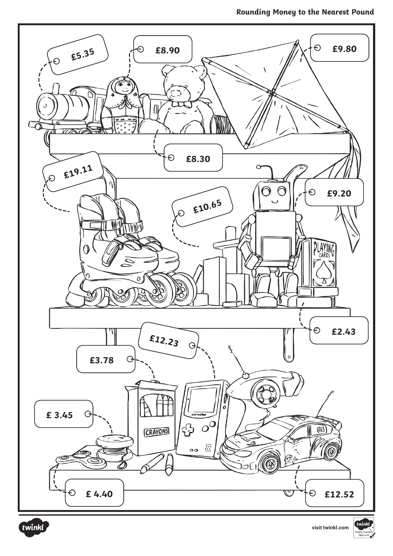



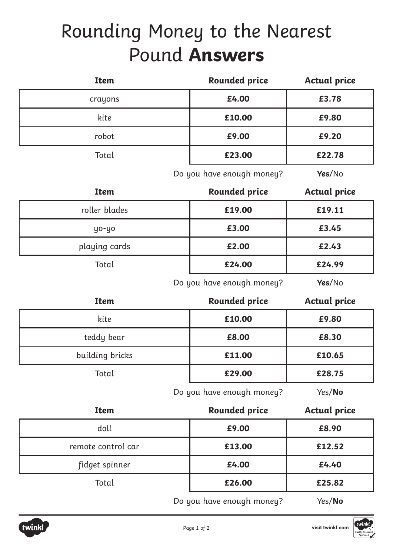# Rounding Money to the Nearest Pound **Answers**

| <b>Item</b> | <b>Rounded price</b> | <b>Actual price</b> |
|-------------|----------------------|---------------------|
| crayons     | £4.00                | £3.78               |
| kite        | £10.00               | £9.80               |
| robot       | £9.00                | £9.20               |
| Total       | £23.00               | £22.78              |
|             |                      |                     |

Do you have enough money? **Yes**/No

| <b>Item</b>   | <b>Rounded price</b> | <b>Actual price</b> |
|---------------|----------------------|---------------------|
| roller blades | £19.00               | £19.11              |
| уо-уо         | £3.00                | £3.45               |
| playing cards | £2.00                | £2.43               |
| Total         | £24.00               | £24.99              |

Do you have enough money? **Yes**/No

| <b>Item</b>     | <b>Rounded price</b> | <b>Actual price</b> |
|-----------------|----------------------|---------------------|
| kite            | £10.00               | £9.80               |
| teddy bear      | £8.00                | £8.30               |
| building bricks | £11.00               | £10.65              |
| Total           | £29.00               | £28.75              |

Do you have enough money? Yes/**No**

| <b>Item</b>        | <b>Rounded price</b>                                       | <b>Actual price</b>           |
|--------------------|------------------------------------------------------------|-------------------------------|
| doll               | £9.00                                                      | £8.90                         |
| remote control car | £13.00                                                     | £12.52                        |
| fidget spinner     | £4.00                                                      | £4.40                         |
| Total              | £26.00                                                     | £25.82                        |
|                    | $\mathbf{D}$ a trace la sera anomala na amarc $\mathbf{D}$ | $\lambda$ / $\sim$ /MI $\sim$ |